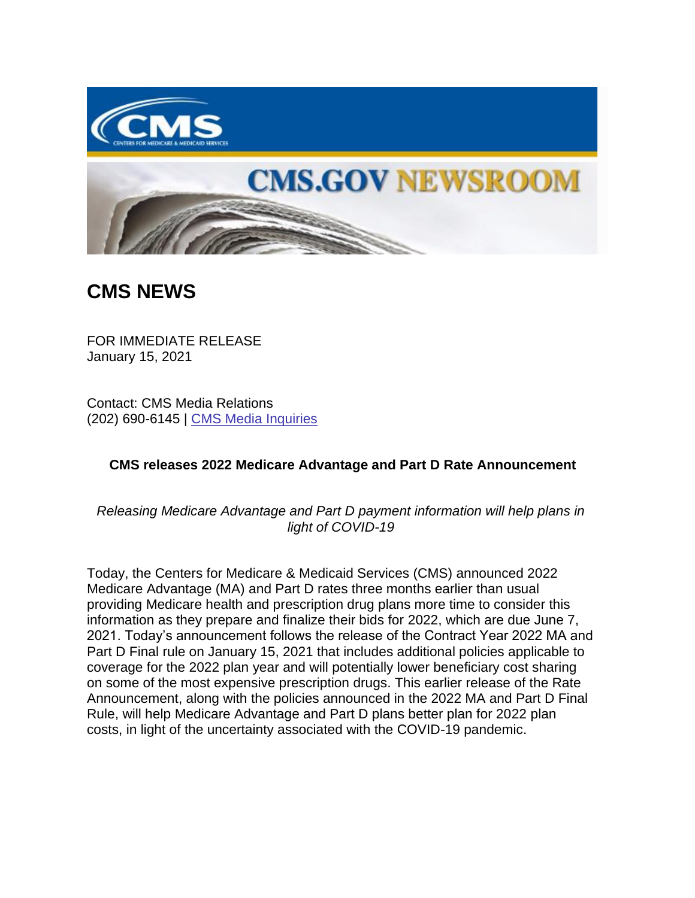



## **CMS NEWS**

FOR IMMEDIATE RELEASE January 15, 2021

Contact: CMS Media Relations (202) 690-6145 | [CMS Media Inquiries](https://lnks.gd/l/eyJhbGciOiJIUzI1NiJ9.eyJidWxsZXRpbl9saW5rX2lkIjoxMDAsInVyaSI6ImJwMjpjbGljayIsImJ1bGxldGluX2lkIjoiMjAyMTAxMTUuMzM0MjEyODEiLCJ1cmwiOiJodHRwczovL3d3dy5jbXMuZ292L25ld3Nyb29tL21lZGlhLWlucXVpcmllcyJ9.qvfaCPI2RDgDAWCXa7X3GlsONMT7IU0WPkD7WqNvg6g/s/1086872215/br/93216443420-l)

## **CMS releases 2022 Medicare Advantage and Part D Rate Announcement**

*Releasing Medicare Advantage and Part D payment information will help plans in light of COVID-19*

Today, the Centers for Medicare & Medicaid Services (CMS) announced 2022 Medicare Advantage (MA) and Part D rates three months earlier than usual providing Medicare health and prescription drug plans more time to consider this information as they prepare and finalize their bids for 2022, which are due June 7, 2021. Today's announcement follows the release of the Contract Year 2022 MA and Part D Final rule on January 15, 2021 that includes additional policies applicable to coverage for the 2022 plan year and will potentially lower beneficiary cost sharing on some of the most expensive prescription drugs. This earlier release of the Rate Announcement, along with the policies announced in the 2022 MA and Part D Final Rule, will help Medicare Advantage and Part D plans better plan for 2022 plan costs, in light of the uncertainty associated with the COVID-19 pandemic.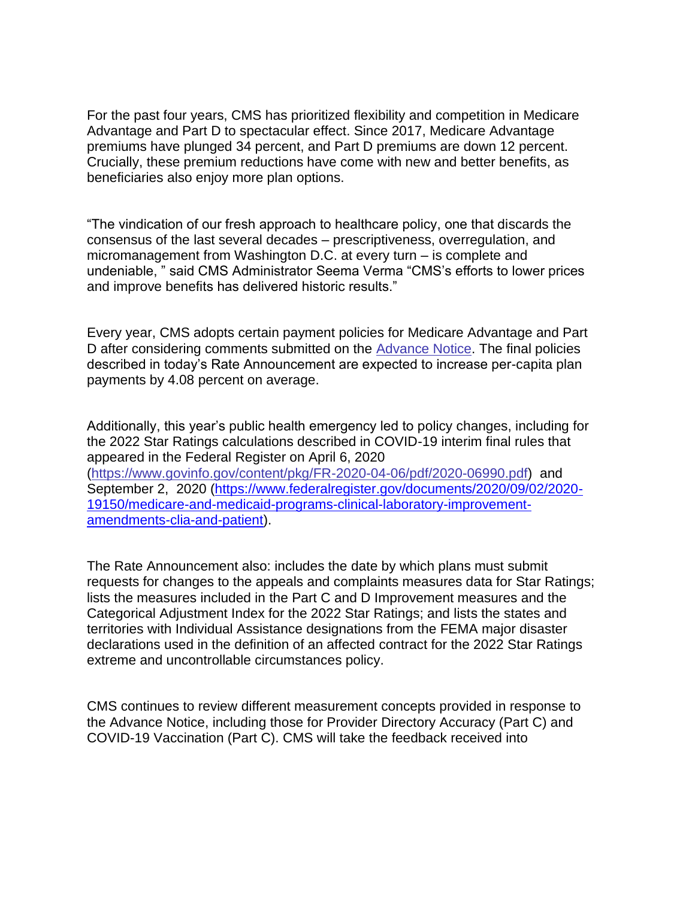For the past four years, CMS has prioritized flexibility and competition in Medicare Advantage and Part D to spectacular effect. Since 2017, Medicare Advantage premiums have plunged 34 percent, and Part D premiums are down 12 percent. Crucially, these premium reductions have come with new and better benefits, as beneficiaries also enjoy more plan options.

"The vindication of our fresh approach to healthcare policy, one that discards the consensus of the last several decades – prescriptiveness, overregulation, and micromanagement from Washington D.C. at every turn – is complete and undeniable, " said CMS Administrator Seema Verma "CMS's efforts to lower prices and improve benefits has delivered historic results."

Every year, CMS adopts certain payment policies for Medicare Advantage and Part D after considering comments submitted on the [Advance Notice.](https://lnks.gd/l/eyJhbGciOiJIUzI1NiJ9.eyJidWxsZXRpbl9saW5rX2lkIjoxMDEsInVyaSI6ImJwMjpjbGljayIsImJ1bGxldGluX2lkIjoiMjAyMTAxMTUuMzM0MjEyODEiLCJ1cmwiOiJodHRwczovL3d3dy5jbXMuZ292L21lZGljYXJlaGVhbHRoLXBsYW5zbWVkaWNhcmVhZHZ0Z3NwZWNyYXRlc3RhdHNhbm5vdW5jZW1lbnRzLWFuZC1kb2N1bWVudHMvMjAyMi1hZHZhbmNlLW5vdGljZXMifQ.RUDTEh3CT-Ew95Wp9Yvt7W0rVLP-vv7NOEkWACZ3BQc/s/1086872215/br/93216443420-l) The final policies described in today's Rate Announcement are expected to increase per-capita plan payments by 4.08 percent on average.

Additionally, this year's public health emergency led to policy changes, including for the 2022 Star Ratings calculations described in COVID-19 interim final rules that appeared in the Federal Register on April 6, 2020 [\(https://www.govinfo.gov/content/pkg/FR-2020-04-06/pdf/2020-06990.pdf\)](https://lnks.gd/l/eyJhbGciOiJIUzI1NiJ9.eyJidWxsZXRpbl9saW5rX2lkIjoxMDIsInVyaSI6ImJwMjpjbGljayIsImJ1bGxldGluX2lkIjoiMjAyMTAxMTUuMzM0MjEyODEiLCJ1cmwiOiJodHRwczovL3d3dy5nb3ZpbmZvLmdvdi9jb250ZW50L3BrZy9GUi0yMDIwLTA0LTA2L3BkZi8yMDIwLTA2OTkwLnBkZiJ9.vvtHbZvCjng3cXinoi39Y4ry5tFCvM9MM8OnPKhhxOs/s/1086872215/br/93216443420-l) and September 2, 2020 [\(https://www.federalregister.gov/documents/2020/09/02/2020-](https://www.federalregister.gov/documents/2020/09/02/2020-19150/medicare-and-medicaid-programs-clinical-laboratory-improvement-amendments-clia-and-patient) [19150/medicare-and-medicaid-programs-clinical-laboratory-improvement](https://www.federalregister.gov/documents/2020/09/02/2020-19150/medicare-and-medicaid-programs-clinical-laboratory-improvement-amendments-clia-and-patient)[amendments-clia-and-patient\)](https://www.federalregister.gov/documents/2020/09/02/2020-19150/medicare-and-medicaid-programs-clinical-laboratory-improvement-amendments-clia-and-patient).

The Rate Announcement also: includes the date by which plans must submit requests for changes to the appeals and complaints measures data for Star Ratings; lists the measures included in the Part C and D Improvement measures and the Categorical Adjustment Index for the 2022 Star Ratings; and lists the states and territories with Individual Assistance designations from the FEMA major disaster declarations used in the definition of an affected contract for the 2022 Star Ratings extreme and uncontrollable circumstances policy.

CMS continues to review different measurement concepts provided in response to the Advance Notice, including those for Provider Directory Accuracy (Part C) and COVID-19 Vaccination (Part C). CMS will take the feedback received into